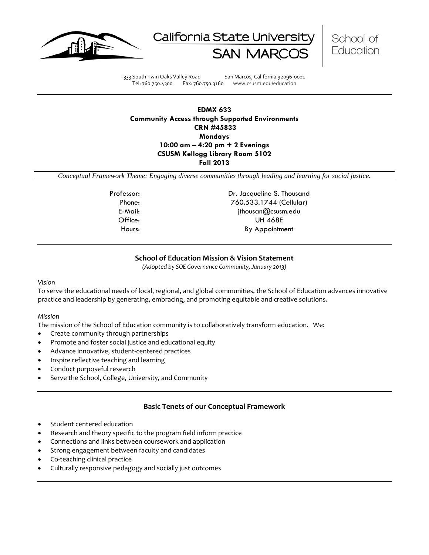





333 South Twin Oaks Valley Road San Marcos, California 92096-0001 Tel: 760.750.4300 Fax: 760.750.3160 www.csusm.edu/education

# **EDMX 633 Community Access through Supported Environments CRN #45833 Mondays 10:00 am – 4:20 pm + 2 Evenings CSUSM Kellogg Library Room 5102 Fall 2013**

*Conceptual Framework Theme: Engaging diverse communities through leading and learning for social justice.*

Professor: Dr. Jacqueline S. Thousand Phone: 760.533.1744 (Cellular) E-Mail: jthousan@csusm.edu Office: UH 468E Hours: By Appointment

# **School of Education Mission & Vision Statement**

*(Adopted by SOE Governance Community, January 2013)*

#### <span id="page-0-0"></span>*Vision*

To serve the educational needs of local, regional, and global communities, the School of Education advances innovative practice and leadership by generating, embracing, and promoting equitable and creative solutions.

#### *Mission*

The mission of the School of Education community is to collaboratively transform education. We:

- Create community through partnerships
- Promote and foster social justice and educational equity
- Advance innovative, student-centered practices
- Inspire reflective teaching and learning
- Conduct purposeful research
- Serve the School, College, University, and Community

# **Basic Tenets of our Conceptual Framework**

- <span id="page-0-1"></span>Student centered education
- Research and theory specific to the program field inform practice
- Connections and links between coursework and application
- Strong engagement between faculty and candidates
- Co-teaching clinical practice
- Culturally responsive pedagogy and socially just outcomes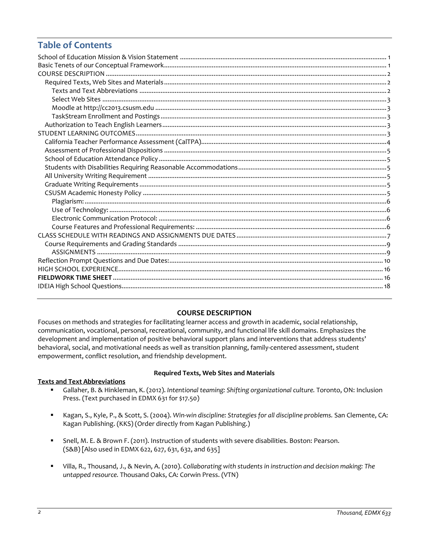# **Table of Contents**

# **COURSE DESCRIPTION**

<span id="page-1-0"></span>Focuses on methods and strategies for facilitating learner access and growth in academic, social relationship, communication, vocational, personal, recreational, community, and functional life skill domains. Emphasizes the development and implementation of positive behavioral support plans and interventions that address students' behavioral, social, and motivational needs as well as transition planning, family-centered assessment, student empowerment, conflict resolution, and friendship development.

# <span id="page-1-2"></span><span id="page-1-1"></span>**Texts and Text Abbreviations**

### **Required Texts, Web Sites and Materials**

- Gallaher, B. & Hinkleman, K. (2012). *Intentional teaming: Shifting organizational culture.* Toronto, ON: Inclusion Press. (Text purchased in EDMX 631 for \$17.50)
- Kagan, S., Kyle, P., & Scott, S. (2004). *Win-win discipline: Strategies for all discipline problems.* San Clemente, CA: Kagan Publishing. (KKS) (Order directly from Kagan Publishing.)
- Snell, M. E. & Brown F. (2011). Instruction of students with severe disabilities. Boston: Pearson. (S&B) [Also used in EDMX 622, 627, 631, 632, and 635]
- <span id="page-1-3"></span> Villa, R., Thousand, J., & Nevin, A. (2010). *Collaborating with students in instruction and decision making: The untapped resource.* Thousand Oaks, CA: Corwin Press. (VTN)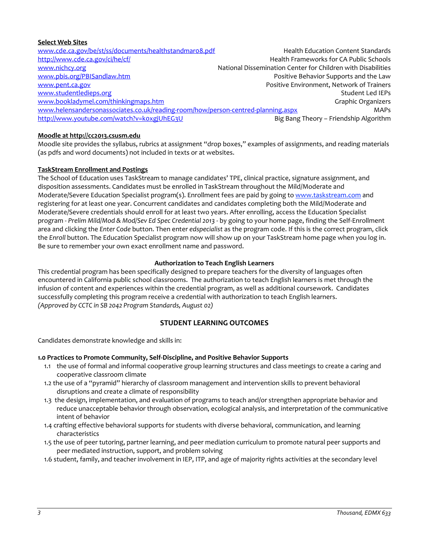# **Select Web Sites**

[www.cde.ca.gov/be/st/ss/documents/healthstandmar08.pdf](http://www.cde.ca.gov/be/st/ss/documents/healthstandmar08.pdf) Health Education Content Standards <http://www.cde.ca.gov/ci/he/cf/> extended the state of the Health Frameworks for CA Public Schools [www.nichcy.org](http://www.nichcy.org/) National Dissemination Center for Children with Disabilities [www.pbis.org/PBISandlaw.htm](http://www.pbis.org/PBISandlaw.htm) **Positive Behavior Supports and the Law** [www.pent.ca.gov](http://www.pent.ca.gov/) Positive Environment, Network of Trainers [www.studentledieps.org](http://www.studentledieps.org/) and the student Led IEPs of the student Led IEPs of the Student Led IEPs [www.bookladymel.com/thinkingmaps.htm](http://www.bookladymel.com/thinkingmaps.htm) Graphic Organizers and Graphic Organizers [www.helensandersonassociates.co.uk/reading-room/how/person-centred-planning.aspx](http://www.helensandersonassociates.co.uk/reading-room/how/person-centred-planning.aspx) MAPs <http://www.youtube.com/watch?v=k0xgjUhEG3U> Big Bang Theory – Friendship Algorithm

# <span id="page-2-0"></span>**Moodle at http://cc2013.csusm.edu**

Moodle site provides the syllabus, rubrics at assignment "drop boxes," examples of assignments, and reading materials (as pdfs and word documents) not included in texts or at websites.

# <span id="page-2-1"></span>**TaskStream Enrollment and Postings**

The School of Education uses TaskStream to manage candidates' TPE, clinical practice, signature assignment, and disposition assessments. Candidates must be enrolled in TaskStream throughout the Mild/Moderate and Moderate/Severe Education Specialist program(s). Enrollment fees are paid by going to [www.taskstream.com](http://www.taskstrem.com/) and registering for at least one year. Concurrent candidates and candidates completing both the Mild/Moderate and Moderate/Severe credentials should enroll for at least two years. After enrolling, access the Education Specialist program - *Prelim Mild/Mod & Mod/Sev Ed Spec Credential 2013* - by going to your home page, finding the Self-Enrollment area and clicking the *Enter Code* button. Then enter *edspecialist* as the program code. If this is the correct program, click the *Enroll* button. The Education Specialist program now will show up on your TaskStream home page when you log in. Be sure to remember your own exact enrollment name and password.

### **Authorization to Teach English Learners**

<span id="page-2-2"></span>This credential program has been specifically designed to prepare teachers for the diversity of languages often encountered in California public school classrooms. The authorization to teach English learners is met through the infusion of content and experiences within the credential program, as well as additional coursework. Candidates successfully completing this program receive a credential with authorization to teach English learners. *(Approved by CCTC in SB 2042 Program Standards, August 02)*

# **STUDENT LEARNING OUTCOMES**

<span id="page-2-3"></span>Candidates demonstrate knowledge and skills in:

### **1.0 Practices to Promote Community, Self-Discipline, and Positive Behavior Supports**

- 1.1 the use of formal and informal cooperative group learning structures and class meetings to create a caring and cooperative classroom climate
- 1.2 the use of a "pyramid" hierarchy of classroom management and intervention skills to prevent behavioral disruptions and create a climate of responsibility
- 1.3 the design, implementation, and evaluation of programs to teach and/or strengthen appropriate behavior and reduce unacceptable behavior through observation, ecological analysis, and interpretation of the communicative intent of behavior
- 1.4 crafting effective behavioral supports for students with diverse behavioral, communication, and learning characteristics
- 1.5 the use of peer tutoring, partner learning, and peer mediation curriculum to promote natural peer supports and peer mediated instruction, support, and problem solving
- 1.6 student, family, and teacher involvement in IEP, ITP, and age of majority rights activities at the secondary level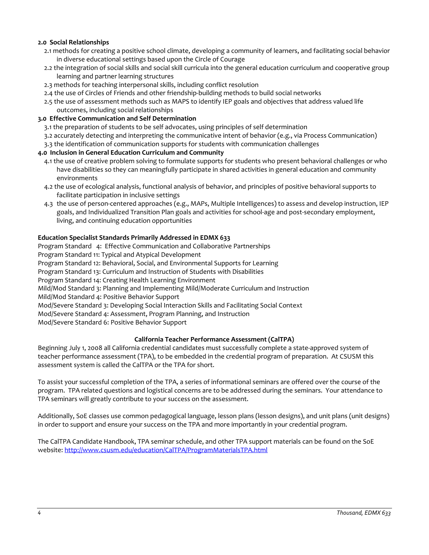# **2.0 Social Relationships**

- 2.1 methods for creating a positive school climate, developing a community of learners, and facilitating social behavior in diverse educational settings based upon the Circle of Courage
- 2.2 the integration of social skills and social skill curricula into the general education curriculum and cooperative group learning and partner learning structures
- 2.3 methods for teaching interpersonal skills, including conflict resolution
- 2.4 the use of Circles of Friends and other friendship-building methods to build social networks
- 2.5 the use of assessment methods such as MAPS to identify IEP goals and objectives that address valued life outcomes, including social relationships

# **3.0 Effective Communication and Self Determination**

3.1 the preparation of students to be self advocates, using principles of self determination

- 3.2 accurately detecting and interpreting the communicative intent of behavior (e.g., via Process Communication)
- 3.3 the identification of communication supports for students with communication challenges

# **4.0 Inclusion in General Education Curriculum and Community**

- 4.1 the use of creative problem solving to formulate supports for students who present behavioral challenges or who have disabilities so they can meaningfully participate in shared activities in general education and community environments
- 4.2 the use of ecological analysis, functional analysis of behavior, and principles of positive behavioral supports to facilitate participation in inclusive settings
- 4.3 the use of person-centered approaches (e.g., MAPs, Multiple Intelligences) to assess and develop instruction, IEP goals, and Individualized Transition Plan goals and activities for school-age and post-secondary employment, living, and continuing education opportunities

# **Education Specialist Standards Primarily Addressed in EDMX 633**

Program Standard 4: Effective Communication and Collaborative Partnerships Program Standard 11: Typical and Atypical Development Program Standard 12: Behavioral, Social, and Environmental Supports for Learning Program Standard 13: Curriculum and Instruction of Students with Disabilities Program Standard 14: Creating Health Learning Environment Mild/Mod Standard 3: Planning and Implementing Mild/Moderate Curriculum and Instruction Mild/Mod Standard 4: Positive Behavior Support Mod/Severe Standard 3: Developing Social Interaction Skills and Facilitating Social Context Mod/Severe Standard 4: Assessment, Program Planning, and Instruction Mod/Severe Standard 6: Positive Behavior Support

# **California Teacher Performance Assessment (CalTPA)**

<span id="page-3-0"></span>Beginning July 1, 2008 all California credential candidates must successfully complete a state-approved system of teacher performance assessment (TPA), to be embedded in the credential program of preparation. At CSUSM this assessment system is called the CalTPA or the TPA for short.

To assist your successful completion of the TPA, a series of informational seminars are offered over the course of the program. TPA related questions and logistical concerns are to be addressed during the seminars. Your attendance to TPA seminars will greatly contribute to your success on the assessment.

Additionally, SoE classes use common pedagogical language, lesson plans (lesson designs), and unit plans (unit designs) in order to support and ensure your success on the TPA and more importantly in your credential program.

<span id="page-3-1"></span>The CalTPA Candidate Handbook, TPA seminar schedule, and other TPA support materials can be found on the SoE website: <http://www.csusm.edu/education/CalTPA/ProgramMaterialsTPA.html>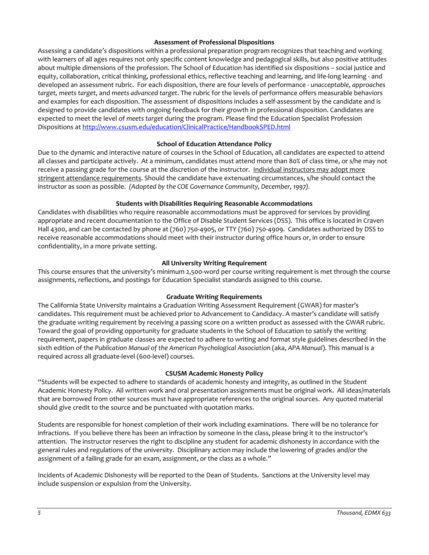### **Assessment of Professional Dispositions**

Assessing a candidate's dispositions within a professional preparation program recognizes that teaching and working with learners of all ages requires not only specific content knowledge and pedagogical skills, but also positive attitudes about multiple dimensions of the profession. The School of Education has identified six dispositions – social justice and equity, collaboration, critical thinking, professional ethics, reflective teaching and learning, and life-long learning - and developed an assessment rubric. For each disposition, there are four levels of performance - *unacceptable*, *approaches target, meets target*, and *meets advanced target*. The rubric for the levels of performance offers measurable behaviors and examples for each disposition. The assessment of dispositions includes a self-assessment by the candidate and is designed to provide candidates with ongoing feedback for their growth in professional disposition. Candidates are expected to meet the level of *meets target* during the program. Please find the Education Specialist Profession Dispositions at<http://www.csusm.edu/education/ClinicalPractice/HandbookSPED.html>

# **School of Education Attendance Policy**

<span id="page-4-0"></span>Due to the dynamic and interactive nature of courses in the School of Education, all candidates are expected to attend all classes and participate actively. At a minimum, candidates must attend more than 80% of class time, or s/he may not receive a passing grade for the course at the discretion of the instructor. Individual instructors may adopt more stringent attendance requirements. Should the candidate have extenuating circumstances, s/he should contact the instructor as soon as possible. *(Adopted by the COE Governance Community, December, 1997).*

# **Students with Disabilities Requiring Reasonable Accommodations**

<span id="page-4-1"></span>Candidates with disabilities who require reasonable accommodations must be approved for services by providing appropriate and recent documentation to the Office of Disable Student Services (DSS). This office is located in Craven Hall 4300, and can be contacted by phone at (760) 750-4905, or TTY (760) 750-4909. Candidates authorized by DSS to receive reasonable accommodations should meet with their instructor during office hours or, in order to ensure confidentiality, in a more private setting.

# **All University Writing Requirement**

<span id="page-4-2"></span>This course ensures that the university's minimum 2,500-word per course writing requirement is met through the course assignments, reflections, and postings for Education Specialist standards assigned to this course.

# **Graduate Writing Requirements**

<span id="page-4-3"></span>The California State University maintains a Graduation Writing Assessment Requirement (GWAR) for master's candidates. This requirement must be achieved prior to Advancement to Candidacy. A master's candidate will satisfy the graduate writing requirement by receiving a passing score on a written product as assessed with the GWAR rubric. Toward the goal of providing opportunity for graduate students in the School of Education to satisfy the writing requirement, papers in graduate classes are expected to adhere to writing and format style guidelines described in the sixth edition of the *Publication Manual of the American Psychological Association* (aka, *APA Manual*). This manual is a required across all graduate-level (600-level) courses.

### **CSUSM Academic Honesty Policy**

<span id="page-4-4"></span>"Students will be expected to adhere to standards of academic honesty and integrity, as outlined in the Student Academic Honesty Policy. All written work and oral presentation assignments must be original work. All ideas/materials that are borrowed from other sources must have appropriate references to the original sources. Any quoted material should give credit to the source and be punctuated with quotation marks.

Students are responsible for honest completion of their work including examinations. There will be no tolerance for infractions. If you believe there has been an infraction by someone in the class, please bring it to the instructor's attention. The instructor reserves the right to discipline any student for academic dishonesty in accordance with the general rules and regulations of the university. Disciplinary action may include the lowering of grades and/or the assignment of a failing grade for an exam, assignment, or the class as a whole."

<span id="page-4-5"></span>Incidents of Academic Dishonesty will be reported to the Dean of Students. Sanctions at the University level may include suspension or expulsion from the University.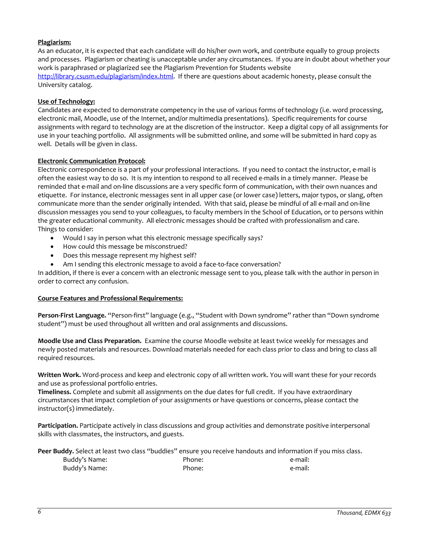# **Plagiarism:**

As an educator, it is expected that each candidate will do his/her own work, and contribute equally to group projects and processes. Plagiarism or cheating is unacceptable under any circumstances. If you are in doubt about whether your work is paraphrased or plagiarized see the Plagiarism Prevention for Students website [http://library.csusm.edu/plagiarism/index.html.](http://library.csusm.edu/plagiarism/index.html) If there are questions about academic honesty, please consult the University catalog.

### <span id="page-5-0"></span>**Use of Technology:**

Candidates are expected to demonstrate competency in the use of various forms of technology (i.e. word processing, electronic mail, Moodle, use of the Internet, and/or multimedia presentations). Specific requirements for course assignments with regard to technology are at the discretion of the instructor. Keep a digital copy of all assignments for use in your teaching portfolio. All assignments will be submitted online, and some will be submitted in hard copy as well. Details will be given in class.

#### <span id="page-5-1"></span>**Electronic Communication Protocol:**

Electronic correspondence is a part of your professional interactions. If you need to contact the instructor, e-mail is often the easiest way to do so. It is my intention to respond to all received e-mails in a timely manner. Please be reminded that e-mail and on-line discussions are a very specific form of communication, with their own nuances and etiquette. For instance, electronic messages sent in all upper case (or lower case) letters, major typos, or slang, often communicate more than the sender originally intended. With that said, please be mindful of all e-mail and on-line discussion messages you send to your colleagues, to faculty members in the School of Education, or to persons within the greater educational community. All electronic messages should be crafted with professionalism and care. Things to consider:

- Would I say in person what this electronic message specifically says?
- How could this message be misconstrued?
- Does this message represent my highest self?
- Am I sending this electronic message to avoid a face-to-face conversation?

In addition, if there is ever a concern with an electronic message sent to you, please talk with the author in person in order to correct any confusion.

### <span id="page-5-2"></span>**Course Features and Professional Requirements:**

**Person-First Language.** "Person-first" language (e.g., "Student with Down syndrome" rather than "Down syndrome student") must be used throughout all written and oral assignments and discussions.

**Moodle Use and Class Preparation.** Examine the course Moodle website at least twice weekly for messages and newly posted materials and resources. Download materials needed for each class *prior* to class and bring to class all required resources.

**Written Work.** Word-process and keep and electronic copy of all written work. You will want these for your records and use as professional portfolio entries.

**Timeliness.** Complete and submit all assignments on the due dates for full credit. If you have extraordinary circumstances that impact completion of your assignments or have questions or concerns, please contact the instructor(s) immediately.

**Participation.** Participate actively in class discussions and group activities and demonstrate positive interpersonal skills with classmates, the instructors, and guests.

|               |        | Peer Buddy. Select at least two class "buddies" ensure you receive handouts and information if you miss class. |
|---------------|--------|----------------------------------------------------------------------------------------------------------------|
| Buddy's Name: | Phone: | e-mail:                                                                                                        |
| Buddy's Name: | Phone: | e-mail:                                                                                                        |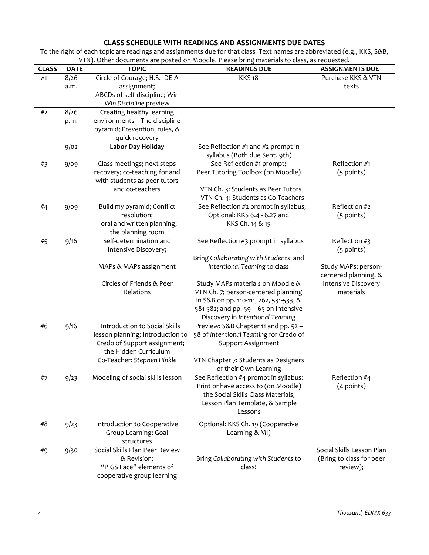# **CLASS SCHEDULE WITH READINGS AND ASSIGNMENTS DUE DATES**

<span id="page-6-0"></span>To the right of each topic are readings and assignments due for that class*.* Text names are abbreviated (e.g., KKS, S&B, VTN). Other documents are posted on Moodle. Please bring materials to class, as requested.

| <b>CLASS</b> | <b>DATE</b> | <b>TOPIC</b>                     | <b>READINGS DUE</b>                                                     | <b>ASSIGNMENTS DUE</b>                  |
|--------------|-------------|----------------------------------|-------------------------------------------------------------------------|-----------------------------------------|
| #1           | 8/26        | Circle of Courage; H.S. IDEIA    | <b>KKS18</b>                                                            | Purchase KKS & VTN                      |
|              | a.m.        | assignment;                      |                                                                         | texts                                   |
|              |             | ABCDs of self-discipline; Win    |                                                                         |                                         |
|              |             | Win Discipline preview           |                                                                         |                                         |
| #2           | 8/26        | Creating healthy learning        |                                                                         |                                         |
|              | p.m.        | environments - The discipline    |                                                                         |                                         |
|              |             | pyramid; Prevention, rules, &    |                                                                         |                                         |
|              |             | quick recovery                   |                                                                         |                                         |
|              | 9/02        | Labor Day Holiday                | See Reflection #1 and #2 prompt in                                      |                                         |
|              |             |                                  | syllabus (Both due Sept. 9th)                                           |                                         |
| #3           | 9/09        | Class meetings; next steps       | See Reflection #1 prompt;                                               | Reflection #1                           |
|              |             | recovery; co-teaching for and    | Peer Tutoring Toolbox (on Moodle)                                       | (5 points)                              |
|              |             | with students as peer tutors     |                                                                         |                                         |
|              |             | and co-teachers                  | VTN Ch. 3: Students as Peer Tutors                                      |                                         |
|              |             |                                  | VTN Ch. 4: Students as Co-Teachers                                      |                                         |
| #4           | 9/09        | Build my pyramid; Conflict       | See Reflection #2 prompt in syllabus;                                   | Reflection #2                           |
|              |             | resolution;                      | Optional: KKS 6.4 - 6.27 and                                            | (5 points)                              |
|              |             | oral and written planning;       | KKS Ch. 14 & 15                                                         |                                         |
|              |             | the planning room                |                                                                         |                                         |
| #5           | 9/16        | Self-determination and           | See Reflection #3 prompt in syllabus                                    | Reflection #3                           |
|              |             | Intensive Discovery;             |                                                                         | (5 points)                              |
|              |             |                                  | Bring Collaborating with Students and                                   |                                         |
|              |             | MAPs & MAPs assignment           | Intentional Teaming to class                                            | Study MAPs; person-                     |
|              |             | Circles of Friends & Peer        |                                                                         | centered planning, &                    |
|              |             | Relations                        | Study MAPs materials on Moodle &<br>VTN Ch. 7; person-centered planning | <b>Intensive Discovery</b><br>materials |
|              |             |                                  | in S&B on pp. 110-111, 262, 531-533, &                                  |                                         |
|              |             |                                  | 581-582; and pp. 59 - 65 on Intensive                                   |                                         |
|              |             |                                  | Discovery in Intentional Teaming                                        |                                         |
| #6           | 9/16        | Introduction to Social Skills    | Preview: S&B Chapter 11 and pp. 52 -                                    |                                         |
|              |             | lesson planning; Introduction to | 58 of Intentional Teaming for Credo of                                  |                                         |
|              |             | Credo of Support assignment;     | Support Assignment                                                      |                                         |
|              |             | the Hidden Curriculum            |                                                                         |                                         |
|              |             | Co-Teacher: Stephen Hinkle       | VTN Chapter 7: Students as Designers                                    |                                         |
|              |             |                                  | of their Own Learning                                                   |                                         |
| #7           | 9/23        | Modeling of social skills lesson | See Reflection #4 prompt in syllabus:                                   | Reflection #4                           |
|              |             |                                  | Print or have access to (on Moodle)                                     | $(4$ points)                            |
|              |             |                                  | the Social Skills Class Materials,                                      |                                         |
|              |             |                                  | Lesson Plan Template, & Sample                                          |                                         |
|              |             |                                  | Lessons                                                                 |                                         |
| #8           | 9/23        | Introduction to Cooperative      | Optional: KKS Ch. 19 (Cooperative                                       |                                         |
|              |             | Group Learning; Goal             | Learning & MI)                                                          |                                         |
|              |             | structures                       |                                                                         |                                         |
| #9           | 9/30        | Social Skills Plan Peer Review   |                                                                         | Social Skills Lesson Plan               |
|              |             | & Revision;                      | Bring Collaborating with Students to                                    | (Bring to class for peer                |
|              |             | "PIGS Face" elements of          | class!                                                                  | review);                                |
|              |             | cooperative group learning       |                                                                         |                                         |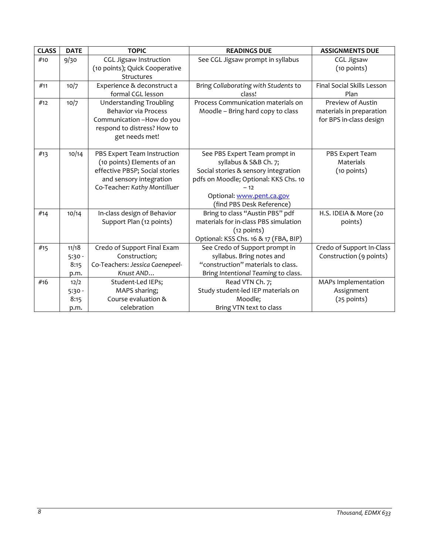| <b>CLASS</b> | <b>DATE</b>      | <b>TOPIC</b>                                             | <b>READINGS DUE</b>                                         | <b>ASSIGNMENTS DUE</b>                               |
|--------------|------------------|----------------------------------------------------------|-------------------------------------------------------------|------------------------------------------------------|
| #10          | 9/30             | <b>CGL Jigsaw Instruction</b>                            | See CGL Jigsaw prompt in syllabus                           | <b>CGL Jigsaw</b>                                    |
|              |                  | (10 points); Quick Cooperative                           |                                                             | (10 points)                                          |
|              |                  | Structures                                               |                                                             |                                                      |
| #11          | 10/7             | Experience & deconstruct a                               | Bring Collaborating with Students to                        | Final Social Skills Lesson                           |
|              |                  | formal CGL lesson                                        | class!                                                      | Plan                                                 |
| #12          | 10/7             | <b>Understanding Troubling</b>                           | Process Communication materials on                          | Preview of Austin                                    |
|              |                  | <b>Behavior via Process</b>                              | Moodle - Bring hard copy to class                           | materials in preparation                             |
|              |                  | Communication -How do you<br>respond to distress? How to |                                                             | for BPS in-class design                              |
|              |                  | get needs met!                                           |                                                             |                                                      |
|              |                  |                                                          |                                                             |                                                      |
| #13          | 10/14            | PBS Expert Team Instruction                              | See PBS Expert Team prompt in                               | PBS Expert Team                                      |
|              |                  | (10 points) Elements of an                               | syllabus & S&B Ch. 7;                                       | Materials                                            |
|              |                  | effective PBSP; Social stories                           | Social stories & sensory integration                        | (10 points)                                          |
|              |                  | and sensory integration                                  | pdfs on Moodle; Optional: KKS Chs. 10                       |                                                      |
|              |                  | Co-Teacher: Kathy Montilluer                             | $-12$                                                       |                                                      |
|              |                  |                                                          | Optional: www.pent.ca.gov                                   |                                                      |
|              |                  |                                                          | (find PBS Desk Reference)                                   |                                                      |
| #14          | 10/14            | In-class design of Behavior                              | Bring to class "Austin PBS" pdf                             | H.S. IDEIA & More (20                                |
|              |                  | Support Plan (12 points)                                 | materials for in-class PBS simulation                       | points)                                              |
|              |                  |                                                          | (12 points)                                                 |                                                      |
|              |                  |                                                          | Optional: KSS Chs. 16 & 17 (FBA, BIP)                       |                                                      |
| #15          | 11/18            | Credo of Support Final Exam<br>Construction;             | See Credo of Support prompt in<br>syllabus. Bring notes and | Credo of Support In-Class<br>Construction (9 points) |
|              | $5:30 -$<br>8:15 | Co-Teachers: Jessica Caenepeel-                          | "construction" materials to class.                          |                                                      |
|              | p.m.             | Knust AND                                                | Bring Intentional Teaming to class.                         |                                                      |
| #16          | 12/2             | Student-Led IEPs;                                        | Read VTN Ch. 7;                                             | MAPs Implementation                                  |
|              | $5:30 -$         | MAPS sharing;                                            | Study student-led IEP materials on                          | Assignment                                           |
|              | 8:15             | Course evaluation &                                      | Moodle;                                                     | (25 points)                                          |
|              | p.m.             | celebration                                              | Bring VTN text to class                                     |                                                      |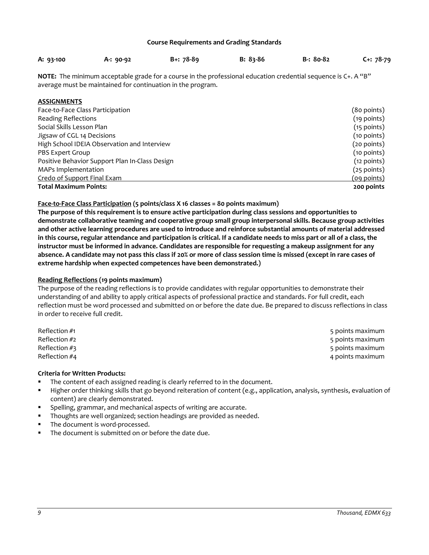#### **Course Requirements and Grading Standards**

<span id="page-8-0"></span>

| A: 93-100 | $A: 90-92$ | $B + 78-89$ | $B: 83-86$ | B-: 80-82 | $C + 78 - 79$ |
|-----------|------------|-------------|------------|-----------|---------------|
|           |            |             |            |           |               |

**NOTE:** The minimum acceptable grade for a course in the professional education credential sequence is C+. A "B" average must be maintained for continuation in the program.

# <span id="page-8-1"></span>**ASSIGNMENTS**

| Face-to-Face Class Participation               | (80 points)        |
|------------------------------------------------|--------------------|
| <b>Reading Reflections</b>                     | $(19$ points)      |
| Social Skills Lesson Plan                      | $(15$ points)      |
| Jigsaw of CGL 14 Decisions                     | $(10$ points)      |
| High School IDEIA Observation and Interview    | (20 points)        |
| PBS Expert Group                               | $(10$ points)      |
| Positive Behavior Support Plan In-Class Design | $(12$ points)      |
| MAPs Implementation                            | $(25$ points)      |
| Credo of Support Final Exam                    | <u>(09 points)</u> |
| <b>Total Maximum Points:</b>                   | 200 points         |

# **Face-to-Face Class Participation (5 points/class X 16 classes = 80 points maximum)**

**The purpose of this requirement is to ensure active participation during class sessions and opportunities to demonstrate collaborative teaming and cooperative group small group interpersonal skills. Because group activities and other active learning procedures are used to introduce and reinforce substantial amounts of material addressed in this course, regular attendance and participation is critical. If a candidate needs to miss part or all of a class, the instructor must be informed in advance. Candidates are responsible for requesting a makeup assignment for any absence. A candidate may not pass this class if 20% or more of class session time is missed (except in rare cases of extreme hardship when expected competences have been demonstrated.)**

# **Reading Reflections (19 points maximum)**

The purpose of the reading reflections is to provide candidates with regular opportunities to demonstrate their understanding of and ability to apply critical aspects of professional practice and standards. For full credit, each reflection must be word processed and submitted on or before the date due. Be prepared to discuss reflections in class in order to receive full credit.

| Reflection #1   | 5 points maximum |
|-----------------|------------------|
| Reflection $#2$ | 5 points maximum |
| Reflection $#3$ | 5 points maximum |
| Reflection #4   | 4 points maximum |

### **Criteria for Written Products:**

- The content of each assigned reading is clearly referred to in the document.
- Higher order thinking skills that go beyond reiteration of content (e.g., application, analysis, synthesis, evaluation of content) are clearly demonstrated.
- Spelling, grammar, and mechanical aspects of writing are accurate.
- Thoughts are well organized; section headings are provided as needed.
- The document is word-processed.
- The document is submitted on or before the date due.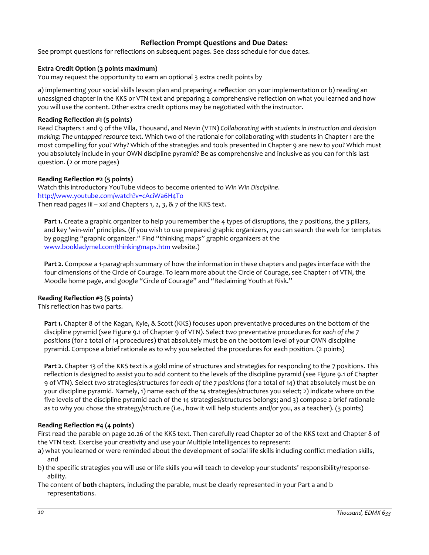# **Reflection Prompt Questions and Due Dates:**

<span id="page-9-0"></span>See prompt questions for reflections on subsequent pages. See class schedule for due dates.

# **Extra Credit Option (3 points maximum)**

You may request the opportunity to earn an optional 3 extra credit points by

a) implementing your social skills lesson plan and preparing a reflection on your implementation or b) reading an unassigned chapter in the KKS or VTN text and preparing a comprehensive reflection on what you learned and how you will use the content. Other extra credit options may be negotiated with the instructor.

# **Reading Reflection #1 (5 points)**

Read Chapters 1 and 9 of the Villa, Thousand, and Nevin (VTN) *Collaborating with students in instruction and decision making: The untapped resource* text. Which two of the rationale for collaborating with students in Chapter 1 are the most compelling for you? Why? Which of the strategies and tools presented in Chapter 9 are new to you? Which must you absolutely include in your OWN discipline pyramid? Be as comprehensive and inclusive as you can for this last question. (2 or more pages)

# **Reading Reflection #2 (5 points)**

Watch this introductory YouTube videos to become oriented to *Win Win Discipline*. <http://www.youtube.com/watch?v=cAciWa6H4To> Then read pages iii – xxi and Chapters 1, 2, 3,  $\&$  7 of the KKS text.

**Part 1.** Create a graphic organizer to help you remember the 4 types of disruptions, the 7 positions, the 3 pillars, and key 'win-win' principles. (If you wish to use prepared graphic organizers, you can search the web for templates by goggling "graphic organizer." Find "thinking maps" graphic organizers at the [www.bookladymel.com/thinkingmaps.htm](http://www.bookladymel.com/thinkingmaps.htm) website.)

**Part 2.** Compose a 1-paragraph summary of how the information in these chapters and pages interface with the four dimensions of the Circle of Courage. To learn more about the Circle of Courage, see Chapter 1 of VTN, the Moodle home page, and google "Circle of Courage" and "Reclaiming Youth at Risk."

### **Reading Reflection #3 (5 points)**

This reflection has two parts.

**Part 1.** Chapter 8 of the Kagan, Kyle, & Scott (KKS) focuses upon preventative procedures on the bottom of the discipline pyramid (see Figure 9.1 of Chapter 9 of VTN). Select *two* preventative procedures for *each of the 7 positions* (for a total of 14 procedures) that absolutely must be on the bottom level of your OWN discipline pyramid. Compose a brief rationale as to why you selected the procedures for each position. (2 points)

**Part 2.** Chapter 13 of the KKS text is a gold mine of structures and strategies for responding to the 7 positions. This reflection is designed to assist you to add content to the levels of the discipline pyramid (see Figure 9.1 of Chapter 9 of VTN). Select *two* strategies/structures for *each of the 7 positions* (for a total of 14) that absolutely must be on your discipline pyramid. Namely, 1) name each of the 14 strategies/structures you select; 2) indicate where on the five levels of the discipline pyramid each of the 14 strategies/structures belongs; and 3) compose a brief rationale as to why you chose the strategy/structure (i.e., how it will help students and/or you, as a teacher). (3 points)

### **Reading Reflection #4 (4 points)**

First read the parable on page 20.26 of the KKS text. Then carefully read Chapter 20 of the KKS text and Chapter 8 of the VTN text. Exercise your creativity and use your Multiple Intelligences to represent:

- a) what you learned or were reminded about the development of social life skills including conflict mediation skills, and
- b) the specific strategies you will use or life skills you will teach to develop your students' responsibility/responseability.
- The content of **both** chapters, including the parable, must be clearly represented in your Part a and b representations.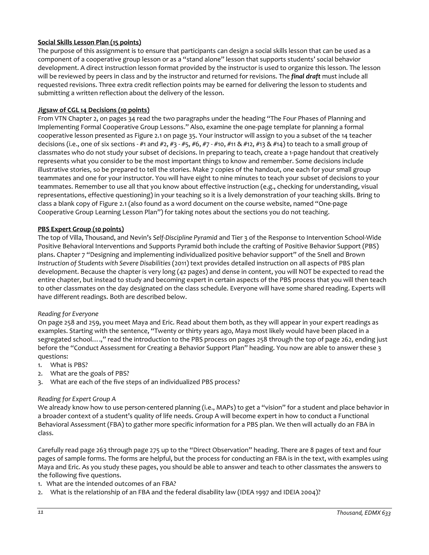# **Social Skills Lesson Plan (15 points)**

The purpose of this assignment is to ensure that participants can design a social skills lesson that can be used as a component of a cooperative group lesson or as a "stand alone" lesson that supports students' social behavior development. A direct instruction lesson format provided by the instructor is used to organize this lesson. The lesson will be reviewed by peers in class and by the instructor and returned for revisions. The *final draft* must include all requested revisions. Three extra credit reflection points may be earned for delivering the lesson to students and submitting a written reflection about the delivery of the lesson.

# **Jigsaw of CGL 14 Decisions (10 points)**

From VTN Chapter 2, on pages 34 read the two paragraphs under the heading "The Four Phases of Planning and Implementing Formal Cooperative Group Lessons." Also, examine the one-page template for planning a formal cooperative lesson presented as Figure 2.1 on page 35. Your instructor will assign to you a subset of the 14 teacher decisions (i.e., one of six sections - #1 and #2, #3 - #5, #6, #7 - #10, #11 & #12, #13 & #14) to teach to a small group of classmates who do not study your subset of decisions. In preparing to teach, create a 1-page handout that creatively represents what you consider to be the most important things to know and remember. Some decisions include illustrative stories, so be prepared to tell the stories. Make 7 copies of the handout, one each for your small group teammates and one for your instructor. You will have eight to nine minutes to teach your subset of decisions to your teammates. Remember to use all that you know about effective instruction (e.g., checking for understanding, visual representations, effective questioning) in your teaching so it is a lively demonstration of your teaching skills. Bring to class a blank copy of Figure 2.1 (also found as a word document on the course website, named "One-page Cooperative Group Learning Lesson Plan") for taking notes about the sections you do not teaching.

### **PBS Expert Group (10 points)**

The top of Villa, Thousand, and Nevin's *Self-Discipline Pyramid* and Tier 3 of the Response to Intervention School-Wide Positive Behavioral Interventions and Supports Pyramid both include the crafting of Positive Behavior Support (PBS) plans. Chapter 7 "Designing and implementing individualized positive behavior support" of the Snell and Brown *Instruction of Students with Severe Disabilities* (2011) text provides detailed instruction on all aspects of PBS plan development. Because the chapter is very long (42 pages) and dense in content, you will NOT be expected to read the entire chapter, but instead to study and becoming expert in certain aspects of the PBS process that you will then teach to other classmates on the day designated on the class schedule. Everyone will have some shared reading. Experts will have different readings. Both are described below.

### *Reading for Everyone*

On page 258 and 259, you meet Maya and Eric. Read about them both, as they will appear in your expert readings as examples. Starting with the sentence, "Twenty or thirty years ago, Maya most likely would have been placed in a segregated school….," read the introduction to the PBS process on pages 258 through the top of page 262, ending just before the "Conduct Assessment for Creating a Behavior Support Plan" heading. You now are able to answer these 3 questions:

- 1. What is PBS?
- 2. What are the goals of PBS?
- 3. What are each of the five steps of an individualized PBS process?

### *Reading for Expert Group A*

We already know how to use person-centered planning (i.e., MAPs) to get a "vision" for a student and place behavior in a broader context of a student's quality of life needs. Group A will become expert in how to conduct a Functional Behavioral Assessment (FBA) to gather more specific information for a PBS plan. We then will actually do an FBA in class.

Carefully read page 263 through page 275 up to the "Direct Observation" heading. There are 8 pages of text and four pages of sample forms. The forms are helpful, but the process for conducting an FBA is in the text, with examples using Maya and Eric. As you study these pages, you should be able to answer and teach to other classmates the answers to the following five questions.

- 1. What are the intended outcomes of an FBA?
- 2. What is the relationship of an FBA and the federal disability law (IDEA 1997 and IDEIA 2004)?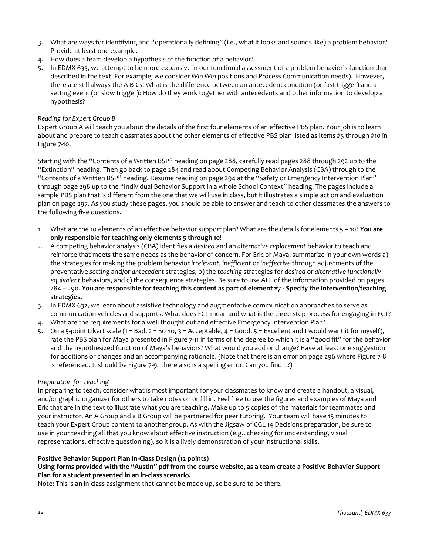- 3. What are ways for identifying and "operationally defining" (i.e., what it looks and sounds like) a problem behavior? Provide at least one example.
- 4. How does a team develop a hypothesis of the function of a behavior?
- 5. In EDMX 633, we attempt to be more expansive in our functional assessment of a problem behavior's function than described in the text. For example, we consider *Win Win* positions and Process Communication needs). However, there are still always the A-B-Cs! What is the difference between an antecedent condition (or fast trigger) and a setting event (or slow trigger)? How do they work together with antecedents and other information to develop a hypothesis?

### *Reading for Expert Group B*

Expert Group A will teach you about the details of the first four elements of an effective PBS plan. Your job is to learn about and prepare to teach classmates about the other elements of effective PBS plan listed as Items #5 through #10 in Figure 7-10.

Starting with the "Contents of a Written BSP" heading on page 288, carefully read pages 288 through 292 up to the "Extinction" heading. Then go back to page 284 and read about Competing Behavior Analysis (CBA) through to the "Contents of a Written BSP" heading. Resume reading on page 294 at the "Safety or Emergency Intervention Plan" through page 298 up to the "Individual Behavior Support in a whole School Context" heading. The pages include a sample PBS plan that is different from the one that we will use in class, but it illustrates a simple action and evaluation plan on page 297. As you study these pages, you should be able to answer and teach to other classmates the answers to the following five questions.

- 1. What are the 10 elements of an effective behavior support plan? What are the details for elements 5 10? **You are only responsible for teaching only elements 5 through 10!**
- 2. A competing behavior analysis (CBA) identifies a *desired* and an *alternative replacement* behavior to teach and reinforce that meets the same needs as the behavior of concern. For Eric or Maya, summarize in your own words a) the strategies for making the problem behavior *irrelevant*, *inefficient* or *ineffective* through adjustments of the preventative *setting* and/or *antecedent* strategies, b) the *teaching* strategies for *desired* or *alternative functionally equivalent* behaviors, and c) the consequence strategies. Be sure to use ALL of the information provided on pages 284 – 290. **You are responsible for teaching this content as part of element #7 - Specify the intervention/teaching strategies.**
- 3. In EDMX 632, we learn about assistive technology and augmentative communication approaches to serve as communication vehicles and supports. What does FCT mean and what is the three-step process for engaging in FCT?
- 4. What are the requirements for a well thought out and effective Emergency Intervention Plan?
- 5. On a 5-point Likert scale (1 = Bad, 2 = So So, 3 = Acceptable, 4 = Good, 5 = Excellent and I would want it for myself), rate the PBS plan for Maya presented in Figure 7-11 in terms of the degree to which it is a "good fit" for the behavior and the hypothesized function of Maya's behaviors? What would you add or change? Have at least one suggestion for additions or changes and an accompanying rationale. (Note that there is an error on page 296 where Figure 7-8 is referenced. It should be Figure 7-**9**. There also is a spelling error. Can you find it?)

### *Preparation for Teaching*

In preparing to teach, consider what is most important for your classmates to know and create a handout, a visual, and/or graphic organizer for others to take notes on or fill in. Feel free to use the figures and examples of Maya and Eric that are in the text to illustrate what you are teaching. Make up to 5 copies of the materials for teammates and your instructor. An A Group and a B Group will be partnered for peer tutoring. Your team will have 15 minutes to teach your Expert Group content to another group. As with the Jigsaw of CGL 14 Decisions preparation, be sure to use in your teaching all that you know about effective instruction (e.g., checking for understanding, visual representations, effective questioning), so it is a lively demonstration of your instructional skills.

#### **Positive Behavior Support Plan In-Class Design (12 points)**

# **Using forms provided with the "Austin" pdf from the course website, as a team create a Positive Behavior Support Plan for a student presented in an in-class scenario.**

Note: This is an in-class assignment that cannot be made up, so be sure to be there.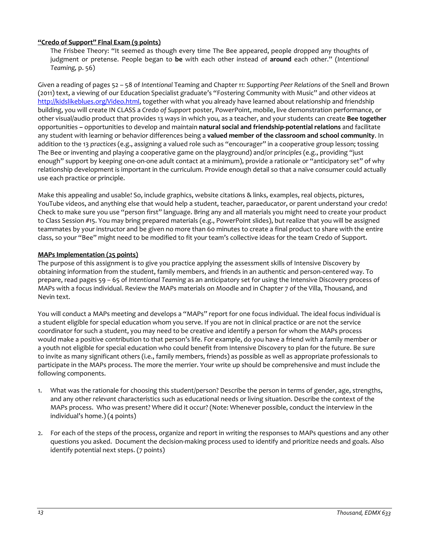# **"Credo of Support" Final Exam (9 points)**

The Frisbee Theory: "It seemed as though every time The Bee appeared, people dropped any thoughts of judgment or pretense. People began to **be** with each other instead of **around** each other." (*Intentional Teaming,* p. 56)

Given a reading of pages 52 – 58 of *Intentional* Teaming and Chapter *11: Supporting Peer Relations* of the Snell and Brown (2011) text, a viewing of our Education Specialist graduate's "Fostering Community with Music" and other videos at [http://kidslikeblues.org/Video.html,](http://kidslikeblues.org/Video.html) together with what you already have learned about relationship and friendship building, you will create IN CLASS a *Credo of Support* poster, PowerPoint, mobile, live demonstration performance, or other visual/audio product that provides 13 ways in which you, as a teacher, and your students can create **Bee together**  opportunities **–** opportunities to develop and maintain **natural social and friendship-potential relations** and facilitate any student with learning or behavior differences being a **valued member of the classroom and school community**. In addition to the 13 *practices* (e.g., assigning a valued role such as "encourager" in a cooperative group lesson; tossing The Bee or inventing and playing a cooperative game on the playground) and/or *principles* (e.g., providing "just enough" support by keeping one-on-one adult contact at a minimum), provide a rationale or "anticipatory set" of why relationship development is important in the curriculum. Provide enough detail so that a naïve consumer could actually use each practice or principle.

Make this appealing and usable! So, include graphics, website citations & links, examples, real objects, pictures, YouTube videos, and anything else that would help a student, teacher, paraeducator, or parent understand your credo! Check to make sure you use "person first" language. Bring any and all materials you might need to create your product to Class Session #15. You may bring prepared materials (e.g., PowerPoint slides), but realize that you will be assigned teammates by your instructor and be given no more than 60 minutes to create a final product to share with the entire class, so your "Bee" might need to be modified to fit your team's collective ideas for the team Credo of Support.

# **MAPs Implementation (25 points)**

The purpose of this assignment is to give you practice applying the assessment skills of Intensive Discovery by obtaining information from the student, family members, and friends in an authentic and person-centered way. To prepare, read pages 59 – 65 of *Intentional Teaming* as an anticipatory set for using the Intensive Discovery process of MAPs with a focus individual. Review the MAPs materials on Moodle and in Chapter 7 of the Villa, Thousand, and Nevin text.

You will conduct a MAPs meeting and develops a "MAPs" report for one focus individual. The ideal focus individual is a student eligible for special education whom you serve. If you are not in clinical practice or are not the service coordinator for such a student, you may need to be creative and identify a person for whom the MAPs process would make a positive contribution to that person's life. For example, do you have a friend with a family member or a youth not eligible for special education who could benefit from Intensive Discovery to plan for the future. Be sure to invite as many significant others (i.e., family members, friends) as possible as well as appropriate professionals to participate in the MAPs process. The more the merrier. Your write up should be comprehensive and must include the following components.

- 1. What was the rationale for choosing this student/person? Describe the person in terms of gender, age, strengths, and any other *relevant* characteristics such as educational needs or living situation. Describe the context of the MAPs process. Who was present? Where did it occur? (Note: Whenever possible, conduct the interview in the individual's home.) (4 points)
- 2. For each of the steps of the process, organize and report in writing the responses to MAPs questions and any other questions you asked. Document the decision-making process used to identify and prioritize needs and goals. Also identify potential next steps. (7 points)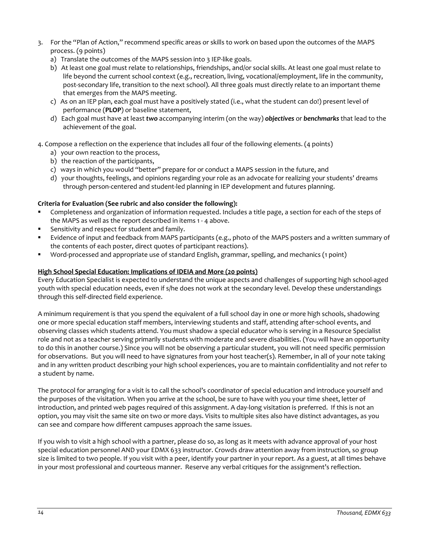- 3. For the "Plan of Action," recommend specific areas or skills to work on based upon the outcomes of the MAPS process. (9 points)
	- a) Translate the outcomes of the MAPS session into 3 IEP-like goals.
	- b) At least one goal must relate to relationships, friendships, and/or social skills. At least one goal must relate to life beyond the current school context (e.g., recreation, living, vocational/employment, life in the community, post-secondary life, transition to the next school). All three goals must directly relate to an important theme that emerges from the MAPS meeting.
	- c) As on an IEP plan, each goal must have a positively stated (i.e., what the student can do!) present level of performance (**PLOP**) or baseline statement,
	- d) Each goal must have at least *two* accompanying interim (on the way) *objectives* or *benchmarks* that lead to the achievement of the goal.
- 4. Compose a reflection on the experience that includes all four of the following elements. (4 points)
	- a) your own reaction to the process,
	- b) the reaction of the participants,
	- c) ways in which you would "better" prepare for or conduct a MAPS session in the future, and
	- d) your thoughts, feelings, and opinions regarding your role as an advocate for realizing your students' dreams through person-centered and student-led planning in IEP development and futures planning.

# **Criteria for Evaluation (See rubric and also consider the following):**

- Completeness and organization of information requested. Includes a title page, a section for each of the steps of the MAPS as well as the report described in items 1 - 4 above.
- Sensitivity and respect for student and family.
- Evidence of input and feedback from MAPS participants (e.g., photo of the MAPS posters and a written summary of the contents of each poster, direct quotes of participant reactions).
- Word-processed and appropriate use of standard English, grammar, spelling, and mechanics (1 point)

# **High School Special Education: Implications of IDEIA and More (20 points)**

Every Education Specialist is expected to understand the unique aspects and challenges of supporting high school-aged youth with special education needs, even if s/he does not work at the secondary level. Develop these understandings through this self-directed field experience.

A minimum requirement is that you spend the equivalent of a full school day in one or more high schools, shadowing one or more special education staff members, interviewing students and staff, attending after-school events, and observing classes which students attend. You must shadow a special educator who is serving in a Resource Specialist role and not as a teacher serving primarily students with moderate and severe disabilities. (You will have an opportunity to do this in another course.) Since you will not be observing a particular student, you will not need specific permission for observations. But you will need to have signatures from your host teacher(s). Remember, in all of your note taking and in any written product describing your high school experiences, you are to maintain confidentiality and not refer to a student by name.

The protocol for arranging for a visit is to call the school's coordinator of special education and introduce yourself and the purposes of the visitation. When you arrive at the school, be sure to have with you your time sheet, letter of introduction, and printed web pages required of this assignment. A day-long visitation is preferred. If this is not an option, you may visit the same site on two or more days. Visits to multiple sites also have distinct advantages, as you can see and compare how different campuses approach the same issues.

If you wish to visit a high school with a partner, please do so, as long as it meets with advance approval of your host special education personnel AND your EDMX 633 instructor. Crowds draw attention away from instruction, so group size is limited to two people. If you visit with a peer, identify your partner in your report. As a guest, at all times behave in your most professional and courteous manner. Reserve any verbal critiques for the assignment's reflection.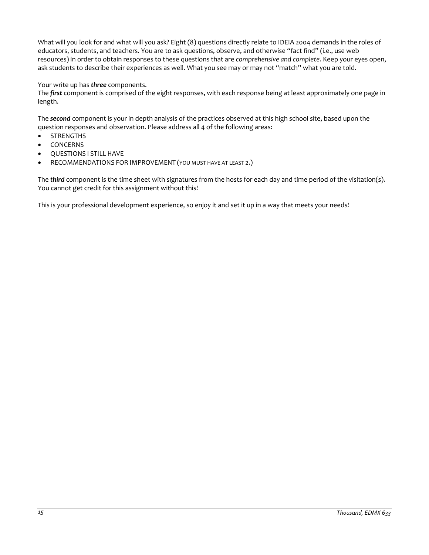What will you look for and what will you ask? Eight (8) questions directly relate to IDEIA 2004 demands in the roles of educators, students, and teachers. You are to ask questions, observe, and otherwise "fact find" (i.e., use web resources) in order to obtain responses to these questions that are *comprehensive and complete*. Keep your eyes open, ask students to describe their experiences as well. What you see may or may not "match" what you are told.

Your write up has *three* components.

The *first* component is comprised of the eight responses, with each response being at least approximately one page in length.

The *second* component is your in depth analysis of the practices observed at this high school site, based upon the question responses and observation. Please address all 4 of the following areas:

- **STRENGTHS**
- **CONCERNS**
- QUESTIONS I STILL HAVE
- RECOMMENDATIONS FOR IMPROVEMENT (YOU MUST HAVE AT LEAST 2.)

The *third* component is the time sheet with signatures from the hosts for each day and time period of the visitation(s). You cannot get credit for this assignment without this!

This is your professional development experience, so enjoy it and set it up in a way that meets your needs!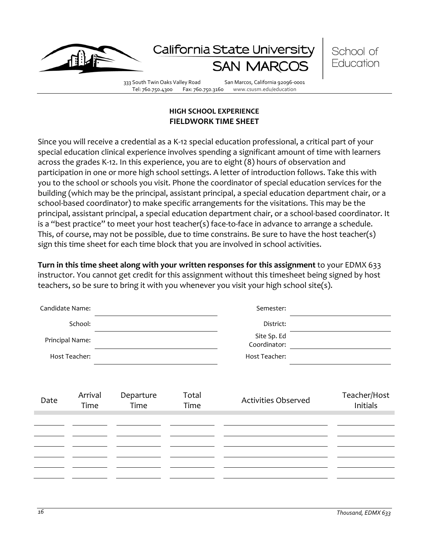

Tel: 760.750.4300 Fax: 760.750.3160 www.csusm.edu/education

# **HIGH SCHOOL EXPERIENCE FIELDWORK TIME SHEET**

<span id="page-15-1"></span><span id="page-15-0"></span>Since you will receive a credential as a K-12 special education professional, a critical part of your special education clinical experience involves spending a significant amount of time with learners across the grades K-12. In this experience, you are to eight (8) hours of observation and participation in one or more high school settings. A letter of introduction follows. Take this with you to the school or schools you visit. Phone the coordinator of special education services for the building (which may be the principal, assistant principal, a special education department chair, or a school-based coordinator) to make specific arrangements for the visitations. This may be the principal, assistant principal, a special education department chair, or a school-based coordinator. It is a "best practice" to meet your host teacher(s) face-to-face in advance to arrange a schedule. This, of course, may not be possible, due to time constrains. Be sure to have the host teacher(s) sign this time sheet for each time block that you are involved in school activities.

**Turn in this time sheet along with your written responses for this assignment** to your EDMX 633 instructor. You cannot get credit for this assignment without this timesheet being signed by host teachers, so be sure to bring it with you whenever you visit your high school site(s).

| Candidate Name: |                 |                   |               | Semester:                   |                          |
|-----------------|-----------------|-------------------|---------------|-----------------------------|--------------------------|
|                 | School:         |                   |               | District:                   |                          |
| Principal Name: |                 |                   |               | Site Sp. Ed<br>Coordinator: |                          |
|                 | Host Teacher:   |                   |               | Host Teacher:               |                          |
|                 |                 |                   |               |                             |                          |
| Date            | Arrival<br>Time | Departure<br>Time | Total<br>Time | <b>Activities Observed</b>  | Teacher/Host<br>Initials |
|                 |                 |                   |               |                             |                          |
|                 |                 |                   |               |                             |                          |
|                 |                 |                   |               |                             |                          |
|                 |                 |                   |               |                             |                          |
|                 |                 |                   |               |                             |                          |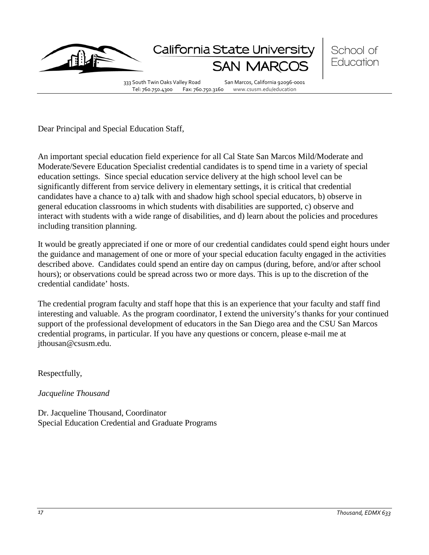

Dear Principal and Special Education Staff,

An important special education field experience for all Cal State San Marcos Mild/Moderate and Moderate/Severe Education Specialist credential candidates is to spend time in a variety of special education settings. Since special education service delivery at the high school level can be significantly different from service delivery in elementary settings, it is critical that credential candidates have a chance to a) talk with and shadow high school special educators, b) observe in general education classrooms in which students with disabilities are supported, c) observe and interact with students with a wide range of disabilities, and d) learn about the policies and procedures including transition planning.

It would be greatly appreciated if one or more of our credential candidates could spend eight hours under the guidance and management of one or more of your special education faculty engaged in the activities described above. Candidates could spend an entire day on campus (during, before, and/or after school hours); or observations could be spread across two or more days. This is up to the discretion of the credential candidate' hosts.

The credential program faculty and staff hope that this is an experience that your faculty and staff find interesting and valuable. As the program coordinator, I extend the university's thanks for your continued support of the professional development of educators in the San Diego area and the CSU San Marcos credential programs, in particular. If you have any questions or concern, please e-mail me at jthousan@csusm.edu.

Respectfully,

*Jacqueline Thousand*

Dr. Jacqueline Thousand, Coordinator Special Education Credential and Graduate Programs